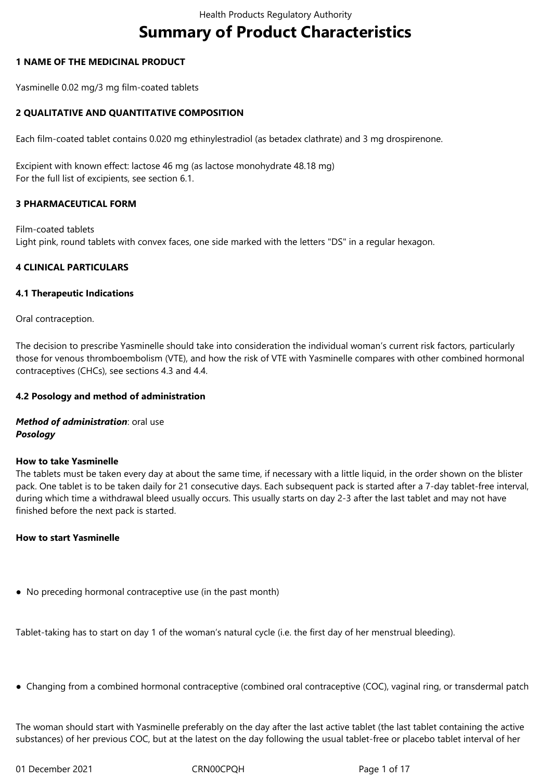# **Summary of Product Characteristics**

# **1 NAME OF THE MEDICINAL PRODUCT**

Yasminelle 0.02 mg/3 mg film-coated tablets

# **2 QUALITATIVE AND QUANTITATIVE COMPOSITION**

Each film-coated tablet contains 0.020 mg ethinylestradiol (as betadex clathrate) and 3 mg drospirenone.

Excipient with known effect: lactose 46 mg (as lactose monohydrate 48.18 mg) For the full list of excipients, see section 6.1.

# **3 PHARMACEUTICAL FORM**

Film-coated tablets Light pink, round tablets with convex faces, one side marked with the letters "DS" in a regular hexagon.

# **4 CLINICAL PARTICULARS**

# **4.1 Therapeutic Indications**

Oral contraception.

The decision to prescribe Yasminelle should take into consideration the individual woman's current risk factors, particularly those for venous thromboembolism (VTE), and how the risk of VTE with Yasminelle compares with other combined hormonal contraceptives (CHCs), see sections 4.3 and 4.4.

# **4.2 Posology and method of administration**

*Method of administration*: oral use *Posology*

# **How to take Yasminelle**

The tablets must be taken every day at about the same time, if necessary with a little liquid, in the order shown on the blister pack. One tablet is to be taken daily for 21 consecutive days. Each subsequent pack is started after a 7-day tablet-free interval, during which time a withdrawal bleed usually occurs. This usually starts on day 2-3 after the last tablet and may not have finished before the next pack is started.

# **How to start Yasminelle**

● No preceding hormonal contraceptive use (in the past month)

Tablet-taking has to start on day 1 of the woman's natural cycle (i.e. the first day of her menstrual bleeding).

● Changing from a combined hormonal contraceptive (combined oral contraceptive (COC), vaginal ring, or transdermal patch

The woman should start with Yasminelle preferably on the day after the last active tablet (the last tablet containing the active substances) of her previous COC, but at the latest on the day following the usual tablet-free or placebo tablet interval of her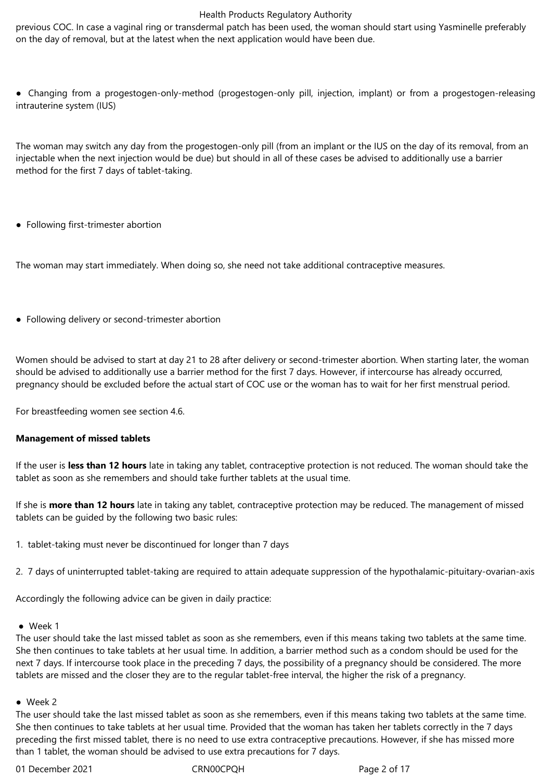previous COC. In case a vaginal ring or transdermal patch has been used, the woman should start using Yasminelle preferably on the day of removal, but at the latest when the next application would have been due.

● Changing from a progestogen-only-method (progestogen-only pill, injection, implant) or from a progestogen-releasing intrauterine system (IUS)

The woman may switch any day from the progestogen-only pill (from an implant or the IUS on the day of its removal, from an injectable when the next injection would be due) but should in all of these cases be advised to additionally use a barrier method for the first 7 days of tablet-taking.

● Following first-trimester abortion

The woman may start immediately. When doing so, she need not take additional contraceptive measures.

• Following delivery or second-trimester abortion

Women should be advised to start at day 21 to 28 after delivery or second-trimester abortion. When starting later, the woman should be advised to additionally use a barrier method for the first 7 days. However, if intercourse has already occurred, pregnancy should be excluded before the actual start of COC use or the woman has to wait for her first menstrual period.

For breastfeeding women see section 4.6.

# **Management of missed tablets**

If the user is **less than 12 hours** late in taking any tablet, contraceptive protection is not reduced. The woman should take the tablet as soon as she remembers and should take further tablets at the usual time.

If she is **more than 12 hours** late in taking any tablet, contraceptive protection may be reduced. The management of missed tablets can be guided by the following two basic rules:

- 1. tablet-taking must never be discontinued for longer than 7 days
- 2. 7 days of uninterrupted tablet-taking are required to attain adequate suppression of the hypothalamic-pituitary-ovarian-axis

Accordingly the following advice can be given in daily practice:

● Week 1

The user should take the last missed tablet as soon as she remembers, even if this means taking two tablets at the same time. She then continues to take tablets at her usual time. In addition, a barrier method such as a condom should be used for the next 7 days. If intercourse took place in the preceding 7 days, the possibility of a pregnancy should be considered. The more tablets are missed and the closer they are to the regular tablet-free interval, the higher the risk of a pregnancy.

#### ● Week 2

The user should take the last missed tablet as soon as she remembers, even if this means taking two tablets at the same time. She then continues to take tablets at her usual time. Provided that the woman has taken her tablets correctly in the 7 days preceding the first missed tablet, there is no need to use extra contraceptive precautions. However, if she has missed more than 1 tablet, the woman should be advised to use extra precautions for 7 days.

01 December 2021 CRN00CPQH Page 2 of 17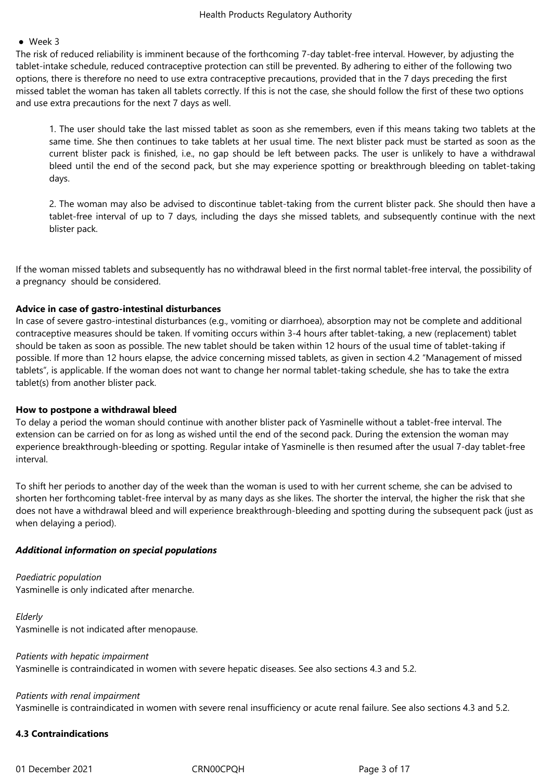#### ● Week 3

The risk of reduced reliability is imminent because of the forthcoming 7-day tablet-free interval. However, by adjusting the tablet-intake schedule, reduced contraceptive protection can still be prevented. By adhering to either of the following two options, there is therefore no need to use extra contraceptive precautions, provided that in the 7 days preceding the first missed tablet the woman has taken all tablets correctly. If this is not the case, she should follow the first of these two options and use extra precautions for the next 7 days as well.

1. The user should take the last missed tablet as soon as she remembers, even if this means taking two tablets at the same time. She then continues to take tablets at her usual time. The next blister pack must be started as soon as the current blister pack is finished, i.e., no gap should be left between packs. The user is unlikely to have a withdrawal bleed until the end of the second pack, but she may experience spotting or breakthrough bleeding on tablet-taking days.

2. The woman may also be advised to discontinue tablet-taking from the current blister pack. She should then have a tablet-free interval of up to 7 days, including the days she missed tablets, and subsequently continue with the next blister pack.

If the woman missed tablets and subsequently has no withdrawal bleed in the first normal tablet-free interval, the possibility of a pregnancy should be considered.

# **Advice in case of gastro-intestinal disturbances**

In case of severe gastro-intestinal disturbances (e.g., vomiting or diarrhoea), absorption may not be complete and additional contraceptive measures should be taken. If vomiting occurs within 3-4 hours after tablet-taking, a new (replacement) tablet should be taken as soon as possible. The new tablet should be taken within 12 hours of the usual time of tablet-taking if possible. If more than 12 hours elapse, the advice concerning missed tablets, as given in section 4.2 "Management of missed tablets", is applicable. If the woman does not want to change her normal tablet-taking schedule, she has to take the extra tablet(s) from another blister pack.

#### **How to postpone a withdrawal bleed**

To delay a period the woman should continue with another blister pack of Yasminelle without a tablet-free interval. The extension can be carried on for as long as wished until the end of the second pack. During the extension the woman may experience breakthrough-bleeding or spotting. Regular intake of Yasminelle is then resumed after the usual 7-day tablet-free interval.

To shift her periods to another day of the week than the woman is used to with her current scheme, she can be advised to shorten her forthcoming tablet-free interval by as many days as she likes. The shorter the interval, the higher the risk that she does not have a withdrawal bleed and will experience breakthrough-bleeding and spotting during the subsequent pack (just as when delaying a period).

# *Additional information on special populations*

*Paediatric population* Yasminelle is only indicated after menarche.

*Elderly* Yasminelle is not indicated after menopause.

*Patients with hepatic impairment* Yasminelle is contraindicated in women with severe hepatic diseases. See also sections 4.3 and 5.2.

#### *Patients with renal impairment*

Yasminelle is contraindicated in women with severe renal insufficiency or acute renal failure. See also sections 4.3 and 5.2.

# **4.3 Contraindications**

01 December 2021 CRN00CPQH Page 3 of 17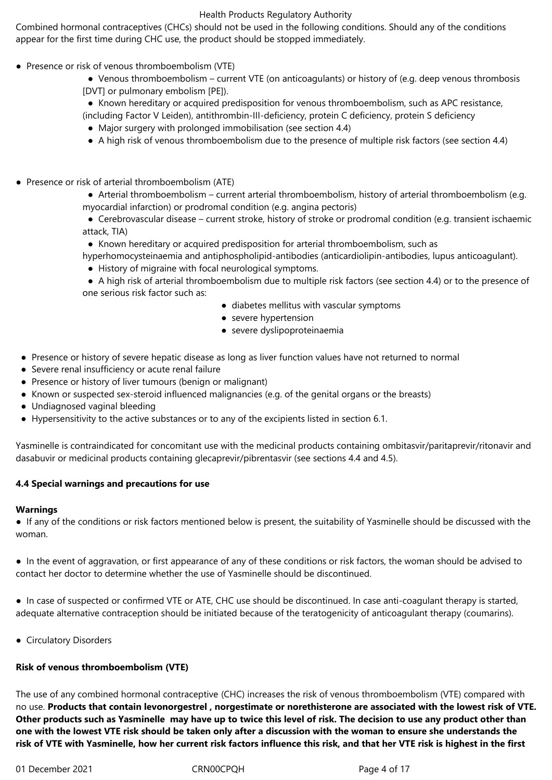Combined hormonal contraceptives (CHCs) should not be used in the following conditions. Should any of the conditions appear for the first time during CHC use, the product should be stopped immediately.

- Presence or risk of venous thromboembolism (VTE)
	- Venous thromboembolism current VTE (on anticoagulants) or history of (e.g. deep venous thrombosis [DVT] or pulmonary embolism [PE]).
	- Known hereditary or acquired predisposition for venous thromboembolism, such as APC resistance,
	- (including Factor V Leiden), antithrombin-III-deficiency, protein C deficiency, protein S deficiency
	- Major surgery with prolonged immobilisation (see section 4.4)
	- A high risk of venous thromboembolism due to the presence of multiple risk factors (see section 4.4)
- Presence or risk of arterial thromboembolism (ATE)
	- Arterial thromboembolism current arterial thromboembolism, history of arterial thromboembolism (e.g. myocardial infarction) or prodromal condition (e.g. angina pectoris)
	- ● Cerebrovascular disease current stroke, history of stroke or prodromal condition (e.g. transient ischaemic attack, TIA)
	- Known hereditary or acquired predisposition for arterial thromboembolism, such as
	- hyperhomocysteinaemia and antiphospholipid-antibodies (anticardiolipin-antibodies, lupus anticoagulant).
		- History of migraine with focal neurological symptoms.
	- ● A high risk of arterial thromboembolism due to multiple risk factors (see section 4.4) or to the presence of one serious risk factor such as:
		- diabetes mellitus with vascular symptoms
		- severe hypertension
		- severe dyslipoproteinaemia
- Presence or history of severe hepatic disease as long as liver function values have not returned to normal
- Severe renal insufficiency or acute renal failure
- Presence or history of liver tumours (benign or malignant)
- Known or suspected sex-steroid influenced malignancies (e.g. of the genital organs or the breasts)
- Undiagnosed vaginal bleeding
- Hypersensitivity to the active substances or to any of the excipients listed in section 6.1.

Yasminelle is contraindicated for concomitant use with the medicinal products containing ombitasvir/paritaprevir/ritonavir and dasabuvir or medicinal products containing glecaprevir/pibrentasvir (see sections 4.4 and 4.5).

# **4.4 Special warnings and precautions for use**

# **Warnings**

● If any of the conditions or risk factors mentioned below is present, the suitability of Yasminelle should be discussed with the woman.

● In the event of aggravation, or first appearance of any of these conditions or risk factors, the woman should be advised to contact her doctor to determine whether the use of Yasminelle should be discontinued.

● In case of suspected or confirmed VTE or ATE, CHC use should be discontinued. In case anti-coagulant therapy is started, adequate alternative contraception should be initiated because of the teratogenicity of anticoagulant therapy (coumarins).

● Circulatory Disorders

# **Risk of venous thromboembolism (VTE)**

The use of any combined hormonal contraceptive (CHC) increases the risk of venous thromboembolism (VTE) compared with no use. **Products that contain levonorgestrel , norgestimate or norethisterone are associated with the lowest risk of VTE. Other products such as Yasminelle may have up to twice this level of risk. The decision to use any product other than one with the lowest VTE risk should be taken only after a discussion with the woman to ensure she understands the risk of VTE with Yasminelle, how her current risk factors influence this risk, and that her VTE risk is highest in the first**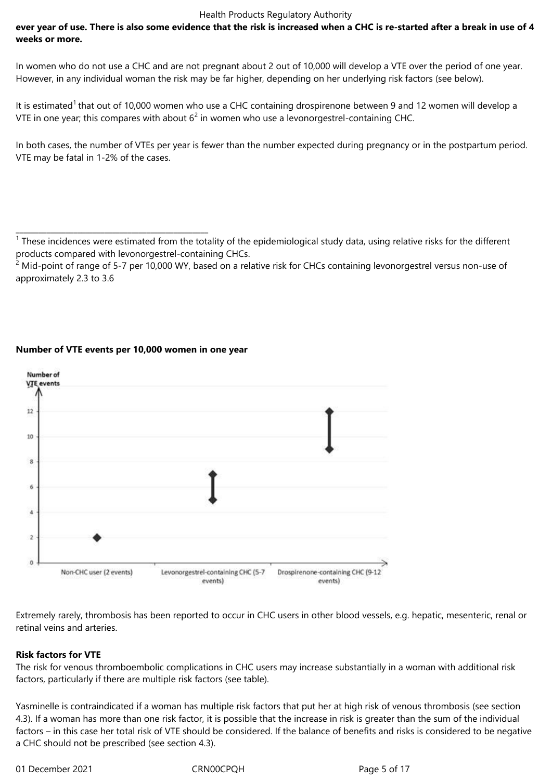# **ever year of use. There is also some evidence that the risk is increased when a CHC is re-started after a break in use of 4 weeks or more.**

In women who do not use a CHC and are not pregnant about 2 out of 10,000 will develop a VTE over the period of one year. However, in any individual woman the risk may be far higher, depending on her underlying risk factors (see below).

It is estimated<sup>1</sup> that out of 10,000 women who use a CHC containing drospirenone between 9 and 12 women will develop a VTE in one year; this compares with about  $6^2$  in women who use a levonorgestrel-containing CHC.

In both cases, the number of VTEs per year is fewer than the number expected during pregnancy or in the postpartum period. VTE may be fatal in 1-2% of the cases.



# **Number of VTE events per 10,000 women in one year**

\_\_\_\_\_\_\_\_\_\_\_\_\_\_\_\_\_\_\_\_\_\_\_\_\_\_\_\_\_\_\_\_\_\_\_\_\_\_\_\_\_\_\_\_\_\_\_\_\_\_

Extremely rarely, thrombosis has been reported to occur in CHC users in other blood vessels, e.g. hepatic, mesenteric, renal or retinal veins and arteries.

# **Risk factors for VTE**

The risk for venous thromboembolic complications in CHC users may increase substantially in a woman with additional risk factors, particularly if there are multiple risk factors (see table).

Yasminelle is contraindicated if a woman has multiple risk factors that put her at high risk of venous thrombosis (see section 4.3). If a woman has more than one risk factor, it is possible that the increase in risk is greater than the sum of the individual factors – in this case her total risk of VTE should be considered. If the balance of benefits and risks is considered to be negative a CHC should not be prescribed (see section 4.3).

01 December 2021 CRN00CPQH Page 5 of 17

<sup>&</sup>lt;sup>1</sup> These incidences were estimated from the totality of the epidemiological study data, using relative risks for the different products compared with levonorgestrel-containing CHCs.

 $^2$  Mid-point of range of 5-7 per 10,000 WY, based on a relative risk for CHCs containing levonorgestrel versus non-use of approximately 2.3 to 3.6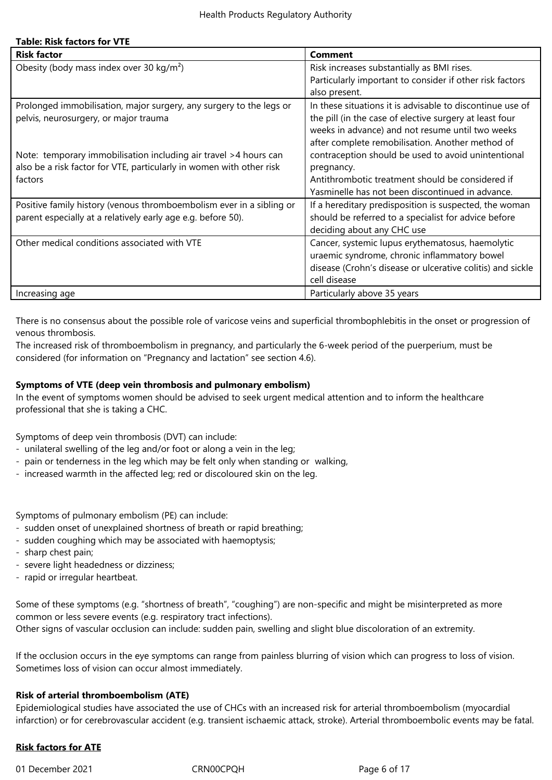# **Table: Risk factors for VTE**

| <b>Risk factor</b>                                                   | <b>Comment</b>                                             |
|----------------------------------------------------------------------|------------------------------------------------------------|
| Obesity (body mass index over 30 kg/m <sup>2</sup> )                 | Risk increases substantially as BMI rises.                 |
|                                                                      | Particularly important to consider if other risk factors   |
|                                                                      | also present.                                              |
| Prolonged immobilisation, major surgery, any surgery to the legs or  | In these situations it is advisable to discontinue use of  |
| pelvis, neurosurgery, or major trauma                                | the pill (in the case of elective surgery at least four    |
|                                                                      | weeks in advance) and not resume until two weeks           |
|                                                                      | after complete remobilisation. Another method of           |
| Note: temporary immobilisation including air travel > 4 hours can    | contraception should be used to avoid unintentional        |
| also be a risk factor for VTE, particularly in women with other risk | pregnancy.                                                 |
| factors                                                              | Antithrombotic treatment should be considered if           |
|                                                                      | Yasminelle has not been discontinued in advance.           |
| Positive family history (venous thromboembolism ever in a sibling or | If a hereditary predisposition is suspected, the woman     |
| parent especially at a relatively early age e.g. before 50).         | should be referred to a specialist for advice before       |
|                                                                      | deciding about any CHC use                                 |
| Other medical conditions associated with VTE                         | Cancer, systemic lupus erythematosus, haemolytic           |
|                                                                      | uraemic syndrome, chronic inflammatory bowel               |
|                                                                      | disease (Crohn's disease or ulcerative colitis) and sickle |
|                                                                      | cell disease                                               |
| Increasing age                                                       | Particularly above 35 years                                |

There is no consensus about the possible role of varicose veins and superficial thrombophlebitis in the onset or progression of venous thrombosis.

The increased risk of thromboembolism in pregnancy, and particularly the 6-week period of the puerperium, must be considered (for information on "Pregnancy and lactation" see section 4.6).

## **Symptoms of VTE (deep vein thrombosis and pulmonary embolism)**

In the event of symptoms women should be advised to seek urgent medical attention and to inform the healthcare professional that she is taking a CHC.

Symptoms of deep vein thrombosis (DVT) can include:

- unilateral swelling of the leg and/or foot or along a vein in the leg;
- pain or tenderness in the leg which may be felt only when standing or walking,
- increased warmth in the affected leg; red or discoloured skin on the leg.

Symptoms of pulmonary embolism (PE) can include:

- sudden onset of unexplained shortness of breath or rapid breathing;
- sudden coughing which may be associated with haemoptysis;
- sharp chest pain;
- severe light headedness or dizziness;
- rapid or irregular heartbeat.

Some of these symptoms (e.g. "shortness of breath", "coughing") are non-specific and might be misinterpreted as more common or less severe events (e.g. respiratory tract infections). Other signs of vascular occlusion can include: sudden pain, swelling and slight blue discoloration of an extremity.

If the occlusion occurs in the eye symptoms can range from painless blurring of vision which can progress to loss of vision. Sometimes loss of vision can occur almost immediately.

# **Risk of arterial thromboembolism (ATE)**

Epidemiological studies have associated the use of CHCs with an increased risk for arterial thromboembolism (myocardial infarction) or for cerebrovascular accident (e.g. transient ischaemic attack, stroke). Arterial thromboembolic events may be fatal.

# **Risk factors for ATE**

01 December 2021 CRN00CPQH Page 6 of 17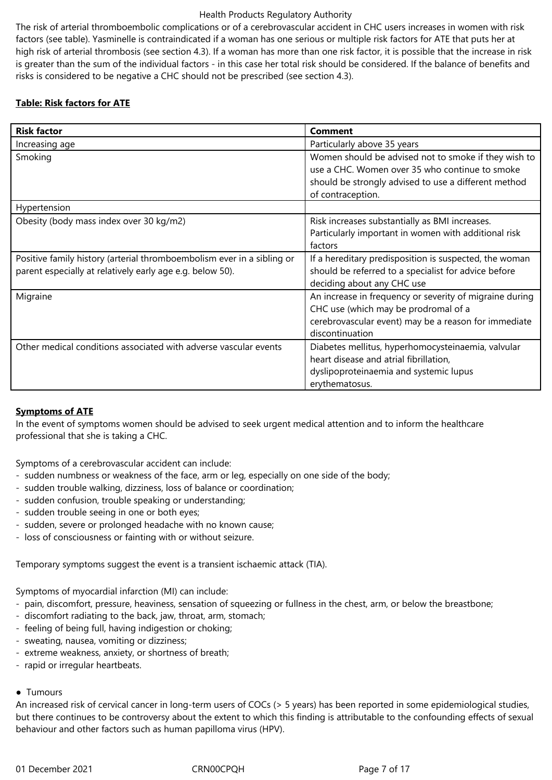The risk of arterial thromboembolic complications or of a cerebrovascular accident in CHC users increases in women with risk factors (see table). Yasminelle is contraindicated if a woman has one serious or multiple risk factors for ATE that puts her at high risk of arterial thrombosis (see section 4.3). If a woman has more than one risk factor, it is possible that the increase in risk is greater than the sum of the individual factors - in this case her total risk should be considered. If the balance of benefits and risks is considered to be negative a CHC should not be prescribed (see section 4.3).

# **Table: Risk factors for ATE**

| <b>Risk factor</b>                                                                                                                  | <b>Comment</b>                                                                                                                                                                      |
|-------------------------------------------------------------------------------------------------------------------------------------|-------------------------------------------------------------------------------------------------------------------------------------------------------------------------------------|
| Increasing age                                                                                                                      | Particularly above 35 years                                                                                                                                                         |
| Smoking                                                                                                                             | Women should be advised not to smoke if they wish to<br>use a CHC. Women over 35 who continue to smoke<br>should be strongly advised to use a different method<br>of contraception. |
| Hypertension                                                                                                                        |                                                                                                                                                                                     |
| Obesity (body mass index over 30 kg/m2)                                                                                             | Risk increases substantially as BMI increases.<br>Particularly important in women with additional risk<br>factors                                                                   |
| Positive family history (arterial thromboembolism ever in a sibling or<br>parent especially at relatively early age e.g. below 50). | If a hereditary predisposition is suspected, the woman<br>should be referred to a specialist for advice before<br>deciding about any CHC use                                        |
| Migraine                                                                                                                            | An increase in frequency or severity of migraine during<br>CHC use (which may be prodromal of a<br>cerebrovascular event) may be a reason for immediate<br>discontinuation          |
| Other medical conditions associated with adverse vascular events                                                                    | Diabetes mellitus, hyperhomocysteinaemia, valvular<br>heart disease and atrial fibrillation,<br>dyslipoproteinaemia and systemic lupus<br>erythematosus.                            |

# **Symptoms of ATE**

In the event of symptoms women should be advised to seek urgent medical attention and to inform the healthcare professional that she is taking a CHC.

Symptoms of a cerebrovascular accident can include:

- sudden numbness or weakness of the face, arm or leg, especially on one side of the body;
- sudden trouble walking, dizziness, loss of balance or coordination;
- sudden confusion, trouble speaking or understanding;
- sudden trouble seeing in one or both eyes;
- sudden, severe or prolonged headache with no known cause;
- loss of consciousness or fainting with or without seizure.

Temporary symptoms suggest the event is a transient ischaemic attack (TIA).

Symptoms of myocardial infarction (MI) can include:

- pain, discomfort, pressure, heaviness, sensation of squeezing or fullness in the chest, arm, or below the breastbone;
- discomfort radiating to the back, jaw, throat, arm, stomach;
- feeling of being full, having indigestion or choking;
- sweating, nausea, vomiting or dizziness;
- extreme weakness, anxiety, or shortness of breath;
- rapid or irregular heartbeats.

# ● Tumours

An increased risk of cervical cancer in long-term users of COCs (> 5 years) has been reported in some epidemiological studies, but there continues to be controversy about the extent to which this finding is attributable to the confounding effects of sexual behaviour and other factors such as human papilloma virus (HPV).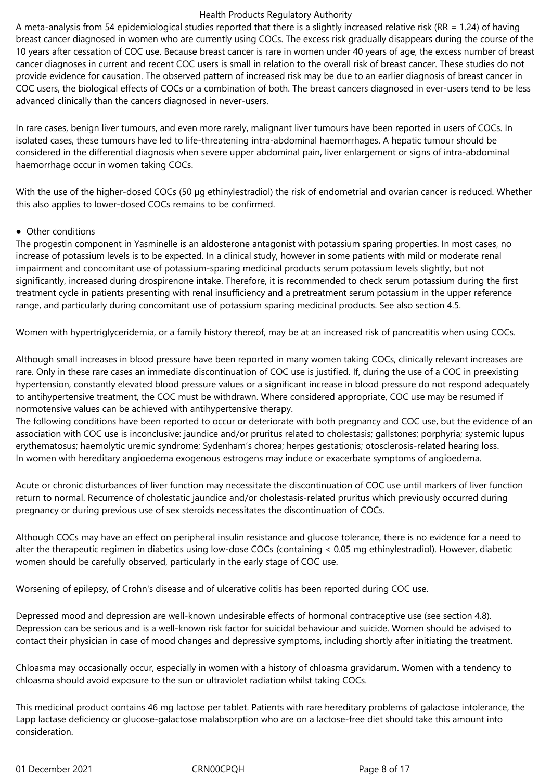A meta-analysis from 54 epidemiological studies reported that there is a slightly increased relative risk (RR = 1.24) of having breast cancer diagnosed in women who are currently using COCs. The excess risk gradually disappears during the course of the 10 years after cessation of COC use. Because breast cancer is rare in women under 40 years of age, the excess number of breast cancer diagnoses in current and recent COC users is small in relation to the overall risk of breast cancer. These studies do not provide evidence for causation. The observed pattern of increased risk may be due to an earlier diagnosis of breast cancer in COC users, the biological effects of COCs or a combination of both. The breast cancers diagnosed in ever-users tend to be less advanced clinically than the cancers diagnosed in never-users.

In rare cases, benign liver tumours, and even more rarely, malignant liver tumours have been reported in users of COCs. In isolated cases, these tumours have led to life-threatening intra-abdominal haemorrhages. A hepatic tumour should be considered in the differential diagnosis when severe upper abdominal pain, liver enlargement or signs of intra-abdominal haemorrhage occur in women taking COCs.

With the use of the higher-dosed COCs (50 µg ethinylestradiol) the risk of endometrial and ovarian cancer is reduced. Whether this also applies to lower-dosed COCs remains to be confirmed.

# ● Other conditions

The progestin component in Yasminelle is an aldosterone antagonist with potassium sparing properties. In most cases, no increase of potassium levels is to be expected. In a clinical study, however in some patients with mild or moderate renal impairment and concomitant use of potassium-sparing medicinal products serum potassium levels slightly, but not significantly, increased during drospirenone intake. Therefore, it is recommended to check serum potassium during the first treatment cycle in patients presenting with renal insufficiency and a pretreatment serum potassium in the upper reference range, and particularly during concomitant use of potassium sparing medicinal products. See also section 4.5.

Women with hypertriglyceridemia, or a family history thereof, may be at an increased risk of pancreatitis when using COCs.

Although small increases in blood pressure have been reported in many women taking COCs, clinically relevant increases are rare. Only in these rare cases an immediate discontinuation of COC use is justified. If, during the use of a COC in preexisting hypertension, constantly elevated blood pressure values or a significant increase in blood pressure do not respond adequately to antihypertensive treatment, the COC must be withdrawn. Where considered appropriate, COC use may be resumed if normotensive values can be achieved with antihypertensive therapy.

The following conditions have been reported to occur or deteriorate with both pregnancy and COC use, but the evidence of an association with COC use is inconclusive: jaundice and/or pruritus related to cholestasis; gallstones; porphyria; systemic lupus erythematosus; haemolytic uremic syndrome; Sydenham's chorea; herpes gestationis; otosclerosis-related hearing loss. In women with hereditary angioedema exogenous estrogens may induce or exacerbate symptoms of angioedema.

Acute or chronic disturbances of liver function may necessitate the discontinuation of COC use until markers of liver function return to normal. Recurrence of cholestatic jaundice and/or cholestasis-related pruritus which previously occurred during pregnancy or during previous use of sex steroids necessitates the discontinuation of COCs.

Although COCs may have an effect on peripheral insulin resistance and glucose tolerance, there is no evidence for a need to alter the therapeutic regimen in diabetics using low-dose COCs (containing < 0.05 mg ethinylestradiol). However, diabetic women should be carefully observed, particularly in the early stage of COC use.

Worsening of epilepsy, of Crohn's disease and of ulcerative colitis has been reported during COC use.

Depressed mood and depression are well-known undesirable effects of hormonal contraceptive use (see section 4.8). Depression can be serious and is a well-known risk factor for suicidal behaviour and suicide. Women should be advised to contact their physician in case of mood changes and depressive symptoms, including shortly after initiating the treatment.

Chloasma may occasionally occur, especially in women with a history of chloasma gravidarum. Women with a tendency to chloasma should avoid exposure to the sun or ultraviolet radiation whilst taking COCs.

This medicinal product contains 46 mg lactose per tablet. Patients with rare hereditary problems of galactose intolerance, the Lapp lactase deficiency or glucose-galactose malabsorption who are on a lactose-free diet should take this amount into consideration.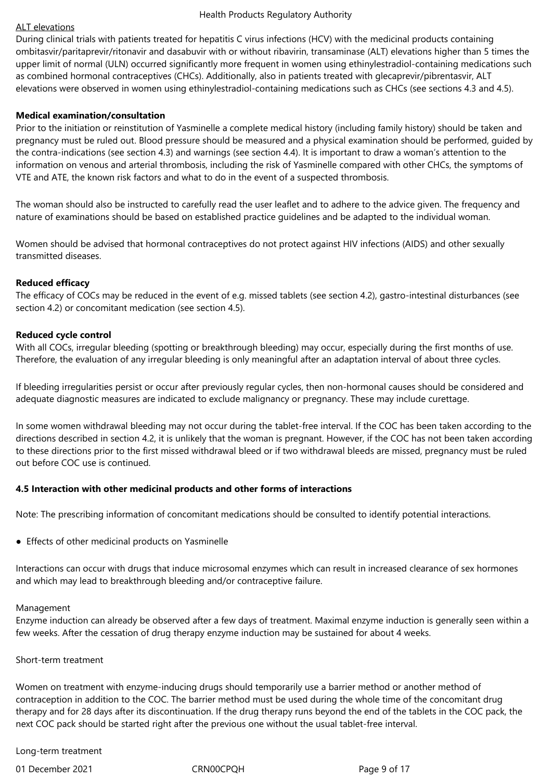## ALT elevations

During clinical trials with patients treated for hepatitis C virus infections (HCV) with the medicinal products containing ombitasvir/paritaprevir/ritonavir and dasabuvir with or without ribavirin, transaminase (ALT) elevations higher than 5 times the upper limit of normal (ULN) occurred significantly more frequent in women using ethinylestradiol-containing medications such as combined hormonal contraceptives (CHCs). Additionally, also in patients treated with glecaprevir/pibrentasvir, ALT elevations were observed in women using ethinylestradiol-containing medications such as CHCs (see sections 4.3 and 4.5).

# **Medical examination/consultation**

Prior to the initiation or reinstitution of Yasminelle a complete medical history (including family history) should be taken and pregnancy must be ruled out. Blood pressure should be measured and a physical examination should be performed, guided by the contra-indications (see section 4.3) and warnings (see section 4.4). It is important to draw a woman's attention to the information on venous and arterial thrombosis, including the risk of Yasminelle compared with other CHCs, the symptoms of VTE and ATE, the known risk factors and what to do in the event of a suspected thrombosis.

The woman should also be instructed to carefully read the user leaflet and to adhere to the advice given. The frequency and nature of examinations should be based on established practice guidelines and be adapted to the individual woman.

Women should be advised that hormonal contraceptives do not protect against HIV infections (AIDS) and other sexually transmitted diseases.

#### **Reduced efficacy**

The efficacy of COCs may be reduced in the event of e.g. missed tablets (see section 4.2), gastro-intestinal disturbances (see section 4.2) or concomitant medication (see section 4.5).

#### **Reduced cycle control**

With all COCs, irregular bleeding (spotting or breakthrough bleeding) may occur, especially during the first months of use. Therefore, the evaluation of any irregular bleeding is only meaningful after an adaptation interval of about three cycles.

If bleeding irregularities persist or occur after previously regular cycles, then non-hormonal causes should be considered and adequate diagnostic measures are indicated to exclude malignancy or pregnancy. These may include curettage.

In some women withdrawal bleeding may not occur during the tablet-free interval. If the COC has been taken according to the directions described in section 4.2, it is unlikely that the woman is pregnant. However, if the COC has not been taken according to these directions prior to the first missed withdrawal bleed or if two withdrawal bleeds are missed, pregnancy must be ruled out before COC use is continued.

#### **4.5 Interaction with other medicinal products and other forms of interactions**

Note: The prescribing information of concomitant medications should be consulted to identify potential interactions.

• Effects of other medicinal products on Yasminelle

Interactions can occur with drugs that induce microsomal enzymes which can result in increased clearance of sex hormones and which may lead to breakthrough bleeding and/or contraceptive failure.

#### Management

Enzyme induction can already be observed after a few days of treatment. Maximal enzyme induction is generally seen within a few weeks. After the cessation of drug therapy enzyme induction may be sustained for about 4 weeks.

#### Short-term treatment

Women on treatment with enzyme-inducing drugs should temporarily use a barrier method or another method of contraception in addition to the COC. The barrier method must be used during the whole time of the concomitant drug therapy and for 28 days after its discontinuation. If the drug therapy runs beyond the end of the tablets in the COC pack, the next COC pack should be started right after the previous one without the usual tablet-free interval.

#### Long-term treatment

01 December 2021 CRN00CPQH Page 9 of 17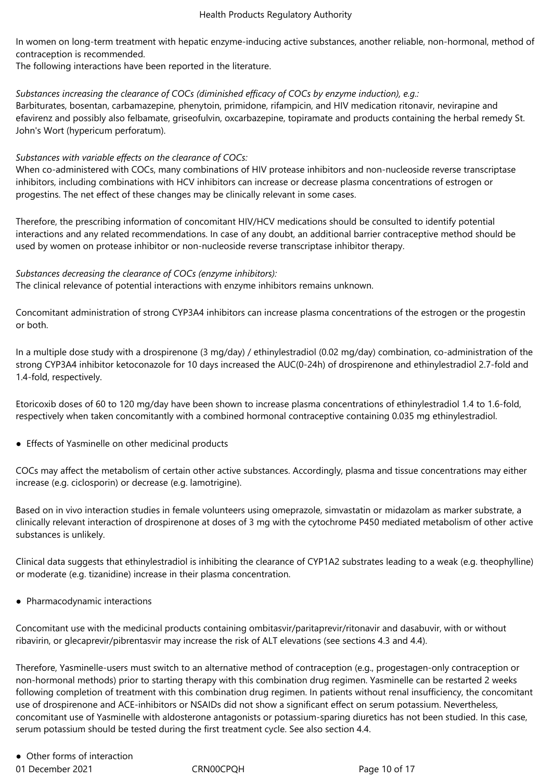In women on long-term treatment with hepatic enzyme-inducing active substances, another reliable, non-hormonal, method of contraception is recommended.

The following interactions have been reported in the literature.

# *Substances increasing the clearance of COCs (diminished efficacy of COCs by enzyme induction), e.g.:*

Barbiturates, bosentan, carbamazepine, phenytoin, primidone, rifampicin, and HIV medication ritonavir, nevirapine and efavirenz and possibly also felbamate, griseofulvin, oxcarbazepine, topiramate and products containing the herbal remedy St. John's Wort (hypericum perforatum).

# *Substances with variable effects on the clearance of COCs:*

When co-administered with COCs, many combinations of HIV protease inhibitors and non-nucleoside reverse transcriptase inhibitors, including combinations with HCV inhibitors can increase or decrease plasma concentrations of estrogen or progestins. The net effect of these changes may be clinically relevant in some cases.

Therefore, the prescribing information of concomitant HIV/HCV medications should be consulted to identify potential interactions and any related recommendations. In case of any doubt, an additional barrier contraceptive method should be used by women on protease inhibitor or non-nucleoside reverse transcriptase inhibitor therapy.

# *Substances decreasing the clearance of COCs (enzyme inhibitors):*

The clinical relevance of potential interactions with enzyme inhibitors remains unknown.

Concomitant administration of strong CYP3A4 inhibitors can increase plasma concentrations of the estrogen or the progestin or both.

In a multiple dose study with a drospirenone (3 mg/day) / ethinylestradiol (0.02 mg/day) combination, co-administration of the strong CYP3A4 inhibitor ketoconazole for 10 days increased the AUC(0-24h) of drospirenone and ethinylestradiol 2.7-fold and 1.4-fold, respectively.

Etoricoxib doses of 60 to 120 mg/day have been shown to increase plasma concentrations of ethinylestradiol 1.4 to 1.6-fold, respectively when taken concomitantly with a combined hormonal contraceptive containing 0.035 mg ethinylestradiol.

● Effects of Yasminelle on other medicinal products

COCs may affect the metabolism of certain other active substances. Accordingly, plasma and tissue concentrations may either increase (e.g. ciclosporin) or decrease (e.g. lamotrigine).

Based on in vivo interaction studies in female volunteers using omeprazole, simvastatin or midazolam as marker substrate, a clinically relevant interaction of drospirenone at doses of 3 mg with the cytochrome P450 mediated metabolism of other active substances is unlikely.

Clinical data suggests that ethinylestradiol is inhibiting the clearance of CYP1A2 substrates leading to a weak (e.g. theophylline) or moderate (e.g. tizanidine) increase in their plasma concentration.

● Pharmacodynamic interactions

Concomitant use with the medicinal products containing ombitasvir/paritaprevir/ritonavir and dasabuvir, with or without ribavirin, or glecaprevir/pibrentasvir may increase the risk of ALT elevations (see sections 4.3 and 4.4).

Therefore, Yasminelle-users must switch to an alternative method of contraception (e.g., progestagen-only contraception or non-hormonal methods) prior to starting therapy with this combination drug regimen. Yasminelle can be restarted 2 weeks following completion of treatment with this combination drug regimen. In patients without renal insufficiency, the concomitant use of drospirenone and ACE-inhibitors or NSAIDs did not show a significant effect on serum potassium. Nevertheless, concomitant use of Yasminelle with aldosterone antagonists or potassium-sparing diuretics has not been studied. In this case, serum potassium should be tested during the first treatment cycle. See also section 4.4.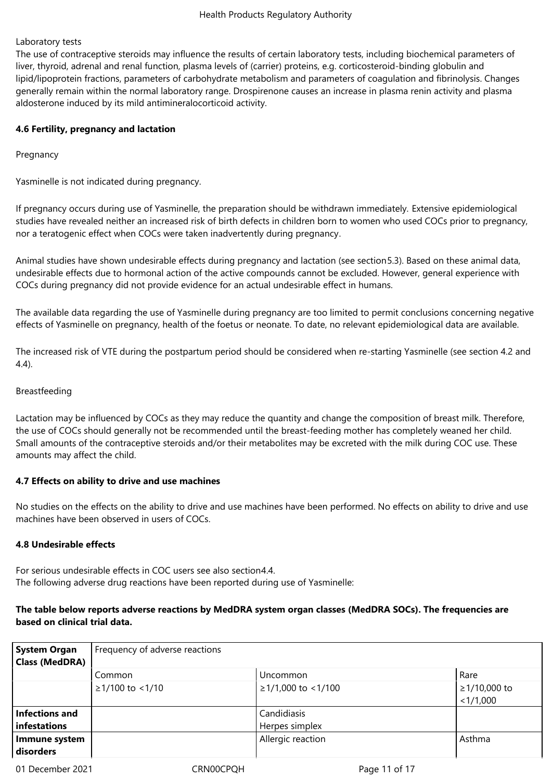# Laboratory tests

The use of contraceptive steroids may influence the results of certain laboratory tests, including biochemical parameters of liver, thyroid, adrenal and renal function, plasma levels of (carrier) proteins, e.g. corticosteroid-binding globulin and lipid/lipoprotein fractions, parameters of carbohydrate metabolism and parameters of coagulation and fibrinolysis. Changes generally remain within the normal laboratory range. Drospirenone causes an increase in plasma renin activity and plasma aldosterone induced by its mild antimineralocorticoid activity.

# **4.6 Fertility, pregnancy and lactation**

Pregnancy

Yasminelle is not indicated during pregnancy.

If pregnancy occurs during use of Yasminelle, the preparation should be withdrawn immediately. Extensive epidemiological studies have revealed neither an increased risk of birth defects in children born to women who used COCs prior to pregnancy, nor a teratogenic effect when COCs were taken inadvertently during pregnancy.

Animal studies have shown undesirable effects during pregnancy and lactation (see section5.3). Based on these animal data, undesirable effects due to hormonal action of the active compounds cannot be excluded. However, general experience with COCs during pregnancy did not provide evidence for an actual undesirable effect in humans.

The available data regarding the use of Yasminelle during pregnancy are too limited to permit conclusions concerning negative effects of Yasminelle on pregnancy, health of the foetus or neonate. To date, no relevant epidemiological data are available.

The increased risk of VTE during the postpartum period should be considered when re-starting Yasminelle (see section 4.2 and 4.4).

# Breastfeeding

Lactation may be influenced by COCs as they may reduce the quantity and change the composition of breast milk. Therefore, the use of COCs should generally not be recommended until the breast-feeding mother has completely weaned her child. Small amounts of the contraceptive steroids and/or their metabolites may be excreted with the milk during COC use. These amounts may affect the child.

# **4.7 Effects on ability to drive and use machines**

No studies on the effects on the ability to drive and use machines have been performed. No effects on ability to drive and use machines have been observed in users of COCs.

# **4.8 Undesirable effects**

For serious undesirable effects in COC users see also section4.4. The following adverse drug reactions have been reported during use of Yasminelle:

# **The table below reports adverse reactions by MedDRA system organ classes (MedDRA SOCs). The frequencies are based on clinical trial data.**

| <b>System Organ</b><br>Class (MedDRA) | Frequency of adverse reactions |                               |                           |
|---------------------------------------|--------------------------------|-------------------------------|---------------------------|
|                                       | Common                         | Uncommon                      | Rare                      |
|                                       | $≥1/100$ to <1/10              | $≥1/1,000$ to <1/100          | ≥1/10,000 to<br>< 1/1,000 |
| Infections and<br>infestations        |                                | Candidiasis<br>Herpes simplex |                           |
| Immune system<br>disorders            |                                | Allergic reaction             | Asthma                    |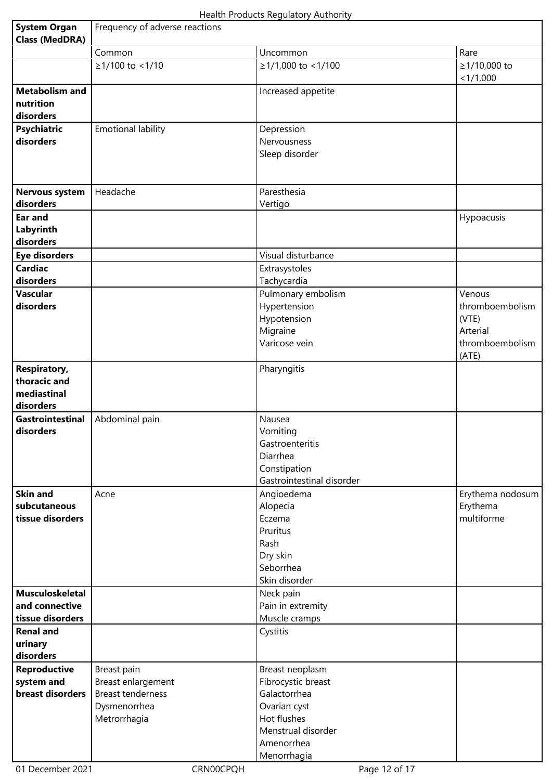| <b>System Organ</b><br><b>Class (MedDRA)</b>                    | Frequency of adverse reactions |                                                                                                |                                                                            |
|-----------------------------------------------------------------|--------------------------------|------------------------------------------------------------------------------------------------|----------------------------------------------------------------------------|
|                                                                 | Common                         | Uncommon                                                                                       | Rare                                                                       |
|                                                                 | ≥1/100 to <1/10                | ≥1/1,000 to <1/100                                                                             | ≥1/10,000 to<br>< 1/1,000                                                  |
| <b>Metabolism and</b><br>nutrition<br>disorders                 |                                | Increased appetite                                                                             |                                                                            |
| <b>Psychiatric</b><br>disorders                                 | <b>Emotional lability</b>      | Depression<br>Nervousness<br>Sleep disorder                                                    |                                                                            |
| <b>Nervous system</b><br>disorders                              | Headache                       | Paresthesia<br>Vertigo                                                                         |                                                                            |
| Ear and<br>Labyrinth<br>disorders                               |                                |                                                                                                | Hypoacusis                                                                 |
| <b>Eye disorders</b>                                            |                                | Visual disturbance                                                                             |                                                                            |
| <b>Cardiac</b>                                                  |                                | Extrasystoles                                                                                  |                                                                            |
| disorders                                                       |                                | Tachycardia                                                                                    |                                                                            |
| <b>Vascular</b><br>disorders                                    |                                | Pulmonary embolism<br>Hypertension<br>Hypotension<br>Migraine<br>Varicose vein                 | Venous<br>thromboembolism<br>(VTE)<br>Arterial<br>thromboembolism<br>(ATE) |
| <b>Respiratory,</b><br>thoracic and<br>mediastinal<br>disorders |                                | Pharyngitis                                                                                    |                                                                            |
| Gastrointestinal<br>disorders                                   | Abdominal pain                 | Nausea<br>Vomiting<br>Gastroenteritis<br>Diarrhea<br>Constipation<br>Gastrointestinal disorder |                                                                            |
| <b>Skin and</b><br>subcutaneous<br>tissue disorders             | Acne                           | Angioedema<br>Alopecia<br>Eczema<br>Pruritus<br>Rash<br>Dry skin<br>Seborrhea<br>Skin disorder | Erythema nodosum<br>Erythema<br>multiforme                                 |
| <b>Musculoskeletal</b><br>and connective                        |                                | Neck pain<br>Pain in extremity                                                                 |                                                                            |
| tissue disorders                                                |                                | Muscle cramps                                                                                  |                                                                            |
| <b>Renal and</b><br>urinary<br>disorders                        |                                | Cystitis                                                                                       |                                                                            |
| <b>Reproductive</b>                                             | Breast pain                    | Breast neoplasm                                                                                |                                                                            |
| system and                                                      | Breast enlargement             | Fibrocystic breast                                                                             |                                                                            |
| breast disorders                                                | <b>Breast tenderness</b>       | Galactorrhea                                                                                   |                                                                            |
|                                                                 | Dysmenorrhea                   | Ovarian cyst                                                                                   |                                                                            |
|                                                                 | Metrorrhagia                   | Hot flushes                                                                                    |                                                                            |
|                                                                 |                                | Menstrual disorder                                                                             |                                                                            |
|                                                                 |                                | Amenorrhea<br>Menorrhagia                                                                      |                                                                            |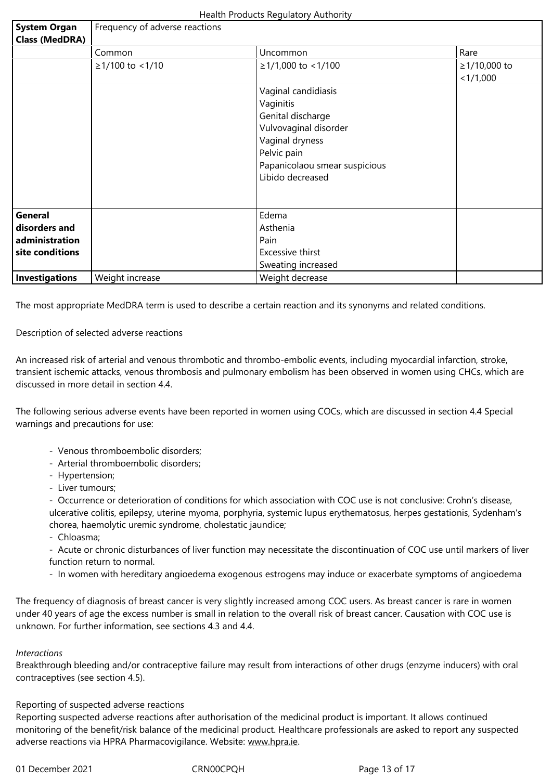| <b>System Organ</b><br><b>Class (MedDRA)</b> | Frequency of adverse reactions |                                                                                                                                                                       |                           |
|----------------------------------------------|--------------------------------|-----------------------------------------------------------------------------------------------------------------------------------------------------------------------|---------------------------|
|                                              | Common                         | Uncommon                                                                                                                                                              | Rare                      |
|                                              | $≥1/100$ to <1/10              | $≥1/1,000$ to <1/100                                                                                                                                                  | ≥1/10,000 to<br>< 1/1,000 |
|                                              |                                | Vaginal candidiasis<br>Vaginitis<br>Genital discharge<br>Vulvovaginal disorder<br>Vaginal dryness<br>Pelvic pain<br>Papanicolaou smear suspicious<br>Libido decreased |                           |
| General<br>disorders and                     |                                | Edema<br>Asthenia                                                                                                                                                     |                           |
| administration                               |                                | Pain                                                                                                                                                                  |                           |
| site conditions                              |                                | Excessive thirst                                                                                                                                                      |                           |
|                                              |                                | Sweating increased                                                                                                                                                    |                           |
| Investigations                               | Weight increase                | Weight decrease                                                                                                                                                       |                           |

The most appropriate MedDRA term is used to describe a certain reaction and its synonyms and related conditions.

Description of selected adverse reactions

An increased risk of arterial and venous thrombotic and thrombo-embolic events, including myocardial infarction, stroke, transient ischemic attacks, venous thrombosis and pulmonary embolism has been observed in women using CHCs, which are discussed in more detail in section 4.4.

The following serious adverse events have been reported in women using COCs, which are discussed in section 4.4 Special warnings and precautions for use:

- Venous thromboembolic disorders;
- Arterial thromboembolic disorders;
- Hypertension;
- Liver tumours;

- Occurrence or deterioration of conditions for which association with COC use is not conclusive: Crohn's disease, ulcerative colitis, epilepsy, uterine myoma, porphyria, systemic lupus erythematosus, herpes gestationis, Sydenham's chorea, haemolytic uremic syndrome, cholestatic jaundice;

- Chloasma;

- Acute or chronic disturbances of liver function may necessitate the discontinuation of COC use until markers of liver function return to normal.

- In women with hereditary angioedema exogenous estrogens may induce or exacerbate symptoms of angioedema

The frequency of diagnosis of breast cancer is very slightly increased among COC users. As breast cancer is rare in women under 40 years of age the excess number is small in relation to the overall risk of breast cancer. Causation with COC use is unknown. For further information, see sections 4.3 and 4.4.

#### *Interactions*

Breakthrough bleeding and/or contraceptive failure may result from interactions of other drugs (enzyme inducers) with oral contraceptives (see section 4.5).

#### Reporting of suspected adverse reactions

Reporting suspected adverse reactions after authorisation of the medicinal product is important. It allows continued monitoring of the benefit/risk balance of the medicinal product. Healthcare professionals are asked to report any suspected adverse reactions via HPRA Pharmacovigilance. Website: www.hpra.ie.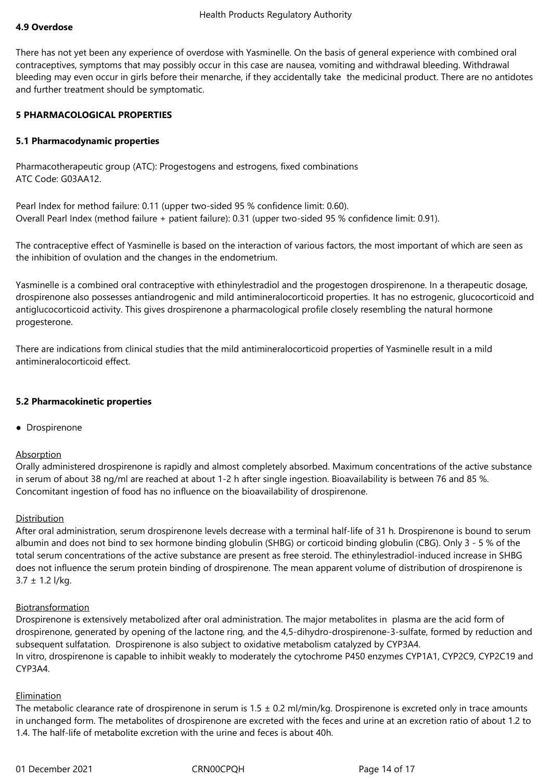## **4.9 Overdose**

There has not yet been any experience of overdose with Yasminelle. On the basis of general experience with combined oral contraceptives, symptoms that may possibly occur in this case are nausea, vomiting and withdrawal bleeding. Withdrawal bleeding may even occur in girls before their menarche, if they accidentally take the medicinal product. There are no antidotes and further treatment should be symptomatic.

#### **5 PHARMACOLOGICAL PROPERTIES**

#### **5.1 Pharmacodynamic properties**

Pharmacotherapeutic group (ATC): Progestogens and estrogens, fixed combinations ATC Code: G03AA12.

Pearl Index for method failure: 0.11 (upper two-sided 95 % confidence limit: 0.60). Overall Pearl Index (method failure + patient failure): 0.31 (upper two-sided 95 % confidence limit: 0.91).

The contraceptive effect of Yasminelle is based on the interaction of various factors, the most important of which are seen as the inhibition of ovulation and the changes in the endometrium.

Yasminelle is a combined oral contraceptive with ethinylestradiol and the progestogen drospirenone. In a therapeutic dosage, drospirenone also possesses antiandrogenic and mild antimineralocorticoid properties. It has no estrogenic, glucocorticoid and antiglucocorticoid activity. This gives drospirenone a pharmacological profile closely resembling the natural hormone progesterone.

There are indications from clinical studies that the mild antimineralocorticoid properties of Yasminelle result in a mild antimineralocorticoid effect.

#### **5.2 Pharmacokinetic properties**

● Drospirenone

#### Absorption

Orally administered drospirenone is rapidly and almost completely absorbed. Maximum concentrations of the active substance in serum of about 38 ng/ml are reached at about 1-2 h after single ingestion. Bioavailability is between 76 and 85 %. Concomitant ingestion of food has no influence on the bioavailability of drospirenone.

#### Distribution

After oral administration, serum drospirenone levels decrease with a terminal half-life of 31 h. Drospirenone is bound to serum albumin and does not bind to sex hormone binding globulin (SHBG) or corticoid binding globulin (CBG). Only 3 - 5 % of the total serum concentrations of the active substance are present as free steroid. The ethinylestradiol-induced increase in SHBG does not influence the serum protein binding of drospirenone. The mean apparent volume of distribution of drospirenone is  $3.7 \pm 1.2$  l/kg.

# **Biotransformation**

Drospirenone is extensively metabolized after oral administration. The major metabolites in plasma are the acid form of drospirenone, generated by opening of the lactone ring, and the 4,5-dihydro-drospirenone-3-sulfate, formed by reduction and subsequent sulfatation. Drospirenone is also subject to oxidative metabolism catalyzed by CYP3A4. In vitro, drospirenone is capable to inhibit weakly to moderately the cytochrome P450 enzymes CYP1A1, CYP2C9, CYP2C19 and CYP3A4.

#### Elimination

The metabolic clearance rate of drospirenone in serum is  $1.5 \pm 0.2$  ml/min/kg. Drospirenone is excreted only in trace amounts in unchanged form. The metabolites of drospirenone are excreted with the feces and urine at an excretion ratio of about 1.2 to 1.4. The half-life of metabolite excretion with the urine and feces is about 40h.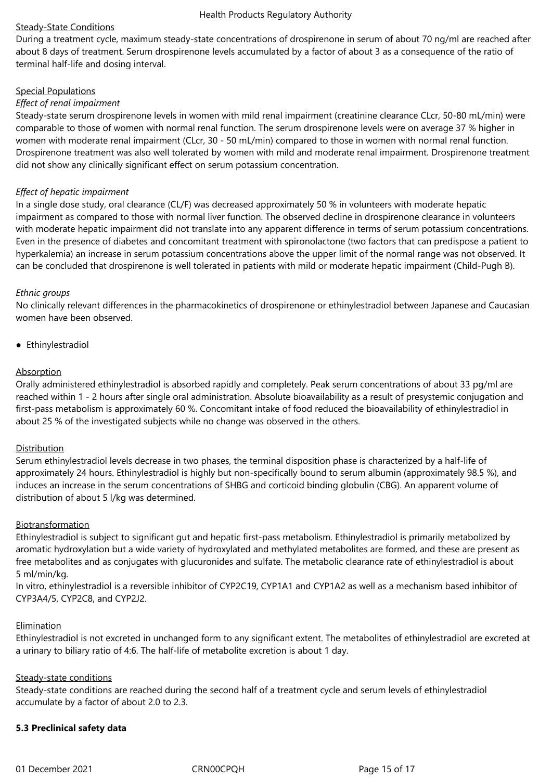# Steady-State Conditions

During a treatment cycle, maximum steady-state concentrations of drospirenone in serum of about 70 ng/ml are reached after about 8 days of treatment. Serum drospirenone levels accumulated by a factor of about 3 as a consequence of the ratio of terminal half-life and dosing interval.

# Special Populations

# *Effect of renal impairment*

Steady-state serum drospirenone levels in women with mild renal impairment (creatinine clearance CLcr, 50-80 mL/min) were comparable to those of women with normal renal function. The serum drospirenone levels were on average 37 % higher in women with moderate renal impairment (CLcr, 30 - 50 mL/min) compared to those in women with normal renal function. Drospirenone treatment was also well tolerated by women with mild and moderate renal impairment. Drospirenone treatment did not show any clinically significant effect on serum potassium concentration.

# *Effect of hepatic impairment*

In a single dose study, oral clearance (CL/F) was decreased approximately 50 % in volunteers with moderate hepatic impairment as compared to those with normal liver function. The observed decline in drospirenone clearance in volunteers with moderate hepatic impairment did not translate into any apparent difference in terms of serum potassium concentrations. Even in the presence of diabetes and concomitant treatment with spironolactone (two factors that can predispose a patient to hyperkalemia) an increase in serum potassium concentrations above the upper limit of the normal range was not observed. It can be concluded that drospirenone is well tolerated in patients with mild or moderate hepatic impairment (Child-Pugh B).

# *Ethnic groups*

No clinically relevant differences in the pharmacokinetics of drospirenone or ethinylestradiol between Japanese and Caucasian women have been observed.

● Ethinylestradiol

# Absorption

Orally administered ethinylestradiol is absorbed rapidly and completely. Peak serum concentrations of about 33 pg/ml are reached within 1 - 2 hours after single oral administration. Absolute bioavailability as a result of presystemic conjugation and first-pass metabolism is approximately 60 %. Concomitant intake of food reduced the bioavailability of ethinylestradiol in about 25 % of the investigated subjects while no change was observed in the others.

# Distribution

Serum ethinylestradiol levels decrease in two phases, the terminal disposition phase is characterized by a half-life of approximately 24 hours. Ethinylestradiol is highly but non-specifically bound to serum albumin (approximately 98.5 %), and induces an increase in the serum concentrations of SHBG and corticoid binding globulin (CBG). An apparent volume of distribution of about 5 l/kg was determined.

# Biotransformation

Ethinylestradiol is subject to significant gut and hepatic first-pass metabolism. Ethinylestradiol is primarily metabolized by aromatic hydroxylation but a wide variety of hydroxylated and methylated metabolites are formed, and these are present as free metabolites and as conjugates with glucuronides and sulfate. The metabolic clearance rate of ethinylestradiol is about 5 ml/min/kg.

In vitro, ethinylestradiol is a reversible inhibitor of CYP2C19, CYP1A1 and CYP1A2 as well as a mechanism based inhibitor of CYP3A4/5, CYP2C8, and CYP2J2.

# Elimination

Ethinylestradiol is not excreted in unchanged form to any significant extent. The metabolites of ethinylestradiol are excreted at a urinary to biliary ratio of 4:6. The half-life of metabolite excretion is about 1 day.

# Steady-state conditions

Steady-state conditions are reached during the second half of a treatment cycle and serum levels of ethinylestradiol accumulate by a factor of about 2.0 to 2.3.

# **5.3 Preclinical safety data**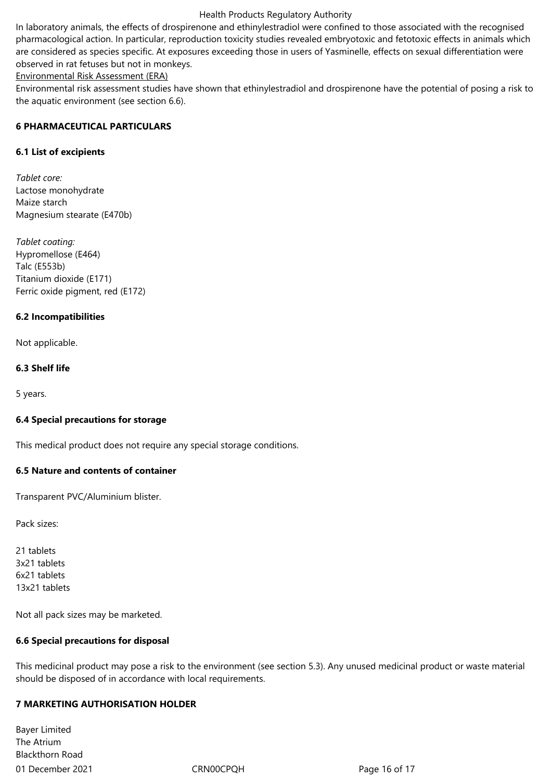In laboratory animals, the effects of drospirenone and ethinylestradiol were confined to those associated with the recognised pharmacological action. In particular, reproduction toxicity studies revealed embryotoxic and fetotoxic effects in animals which are considered as species specific. At exposures exceeding those in users of Yasminelle, effects on sexual differentiation were observed in rat fetuses but not in monkeys.

Environmental Risk Assessment (ERA)

Environmental risk assessment studies have shown that ethinylestradiol and drospirenone have the potential of posing a risk to the aquatic environment (see section 6.6).

# **6 PHARMACEUTICAL PARTICULARS**

# **6.1 List of excipients**

*Tablet core:* Lactose monohydrate Maize starch Magnesium stearate (E470b)

*Tablet coating:* Hypromellose (E464) Talc (E553b) Titanium dioxide (E171) Ferric oxide pigment, red (E172)

# **6.2 Incompatibilities**

Not applicable.

# **6.3 Shelf life**

5 years.

# **6.4 Special precautions for storage**

This medical product does not require any special storage conditions.

# **6.5 Nature and contents of container**

Transparent PVC/Aluminium blister.

Pack sizes:

21 tablets 3x21 tablets 6x21 tablets 13x21 tablets

Not all pack sizes may be marketed.

# **6.6 Special precautions for disposal**

This medicinal product may pose a risk to the environment (see section 5.3). Any unused medicinal product or waste material should be disposed of in accordance with local requirements.

# **7 MARKETING AUTHORISATION HOLDER**

01 December 2021 CRN00CPQH CRNOOCPQH Page 16 of 17 Bayer Limited The Atrium Blackthorn Road